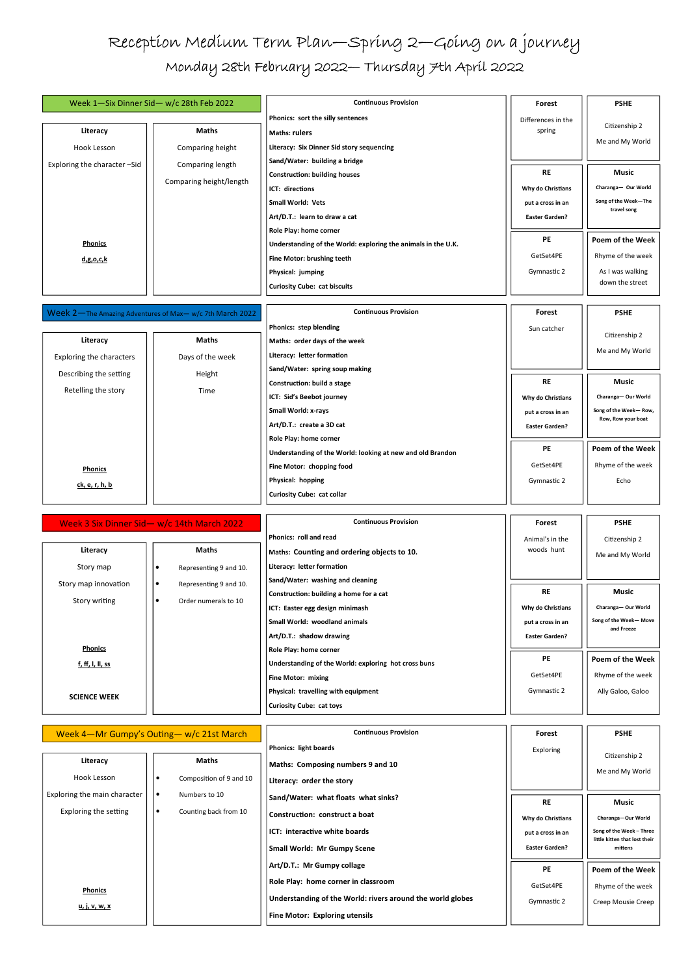## Reception Medium Term Plan—Spring 2—Going on a journey Monday 28th February 2022— Thursday 7th April 2022

| Week 1-Six Dinner Sid- w/c 28th Feb 2022 |                         | <b>Continuous Provision</b>                                   | Forest                | <b>PSHE</b>                         |
|------------------------------------------|-------------------------|---------------------------------------------------------------|-----------------------|-------------------------------------|
|                                          |                         | Phonics: sort the silly sentences                             | Differences in the    | Citizenship 2                       |
| Literacy                                 | <b>Maths</b>            | <b>Maths: rulers</b>                                          | spring                |                                     |
| Hook Lesson                              | Comparing height        | Literacy: Six Dinner Sid story sequencing                     |                       | Me and My World                     |
| Exploring the character - Sid            | Comparing length        | Sand/Water: building a bridge                                 |                       |                                     |
|                                          | Comparing height/length | <b>Construction: building houses</b>                          | <b>RE</b>             | Music                               |
|                                          |                         | ICT: directions                                               | Why do Christians     | Charanga- Our World                 |
|                                          |                         | <b>Small World: Vets</b>                                      | put a cross in an     | Song of the Week-The<br>travel song |
|                                          |                         | Art/D.T.: learn to draw a cat                                 | <b>Easter Garden?</b> |                                     |
|                                          |                         | Role Play: home corner                                        |                       |                                     |
| <b>Phonics</b>                           |                         | Understanding of the World: exploring the animals in the U.K. | PE                    | Poem of the Week                    |
| <u>d,g,o,c,k</u>                         |                         | Fine Motor: brushing teeth                                    | GetSet4PE             | Rhyme of the week                   |
|                                          |                         | Physical: jumping                                             | Gymnastic 2           | As I was walking                    |
|                                          |                         | <b>Curiosity Cube: cat biscuits</b>                           |                       | down the street                     |

## Week 2—The Amazing Adventures of Max— w/c 7th March 2022 **Literacy**  Exploring the characters Describing the setting Retelling the story **Phonics ck, e, r, h, b Maths**  Days of the week Height Time **Continuous Provision Phonics: step blending Maths: order days of the week Literacy: letter formation Sand/Water: spring soup making Construction: build a stage ICT: Sid's Beebot journey Small World: x-rays Art/D.T.: create a 3D cat Role Play: home corner Understanding of the World: looking at new and old Brandon Fine Motor: chopping food Physical: hopping Curiosity Cube: cat collar PE**  GetSet4PE Gymnastic 2 **RE Why do Christians put a cross in an Easter Garden? Forest**  Sun catcher **Poem of the Week**  Rhyme of the week Echo **Music Charanga— Our World Song of the Week— Row, Row, Row your boat PSHE**  Citizenship 2 Me and My World

## Week 3 Six Dinner Sid— w/c 14th March 2022

|                         | Week 3 Six Dinner Sid- w/c 14th March 2022 | <b>Continuous Provision</b>                          | Forest                | <b>PSHE</b>                         |
|-------------------------|--------------------------------------------|------------------------------------------------------|-----------------------|-------------------------------------|
|                         |                                            | Phonics: roll and read                               | Animal's in the       | Citizenship 2                       |
| Literacy                | <b>Maths</b>                               | Maths: Counting and ordering objects to 10.          | woods hunt            | Me and My World                     |
| Story map               | Representing 9 and 10.<br>٠                | Literacy: letter formation                           |                       |                                     |
| Story map innovation    | Representing 9 and 10.<br>$\bullet$        | Sand/Water: washing and cleaning                     |                       |                                     |
| Story writing           | Order numerals to 10<br>$\bullet$          | Construction: building a home for a cat              | <b>RE</b>             | Music                               |
|                         |                                            | ICT: Easter egg design minimash                      | Why do Christians     | Charanga-Our World                  |
|                         |                                            | <b>Small World: woodland animals</b>                 | put a cross in an     | Song of the Week-Move<br>and Freeze |
|                         |                                            | Art/D.T.: shadow drawing                             | <b>Easter Garden?</b> |                                     |
| <b>Phonics</b>          |                                            | Role Play: home corner                               |                       |                                     |
| <u>f, ff, I, II, ss</u> |                                            | Understanding of the World: exploring hot cross buns | <b>PE</b>             | Poem of the Week                    |
|                         |                                            | <b>Fine Motor: mixing</b>                            | GetSet4PE             | Rhyme of the week                   |
| <b>SCIENCE WEEK</b>     |                                            | Physical: travelling with equipment                  | Gymnastic 2           | Ally Galoo, Galoo                   |
|                         |                                            | <b>Curiosity Cube: cat toys</b>                      |                       |                                     |
|                         |                                            |                                                      |                       |                                     |

**Continuous Provision** 

| Week 4-Mr Gumpy's Outing- w/c 21st March |                                    | <b>Continuous Provision</b>                                | Forest                | <b>PSHE</b>                                               |
|------------------------------------------|------------------------------------|------------------------------------------------------------|-----------------------|-----------------------------------------------------------|
|                                          |                                    | <b>Phonics: light boards</b>                               | Exploring             |                                                           |
| Literacy                                 | <b>Maths</b>                       | Maths: Composing numbers 9 and 10                          |                       | Citizenship 2<br>Me and My World                          |
| Hook Lesson                              | Composition of 9 and 10            | Literacy: order the story                                  |                       |                                                           |
| Exploring the main character             | Numbers to 10<br>$\bullet$         | Sand/Water: what floats what sinks?                        | <b>RE</b>             | <b>Music</b>                                              |
| Exploring the setting                    | Counting back from 10<br>$\bullet$ | Construction: construct a boat                             | Why do Christians     | Charanga-Our World                                        |
|                                          |                                    | ICT: interactive white boards                              | put a cross in an     | Song of the Week - Three<br>little kitten that lost their |
|                                          |                                    | <b>Small World: Mr Gumpy Scene</b>                         | <b>Easter Garden?</b> | mittens                                                   |
|                                          |                                    | Art/D.T.: Mr Gumpy collage                                 | <b>PE</b>             | Poem of the Week                                          |
| <b>Phonics</b>                           |                                    | Role Play: home corner in classroom                        | GetSet4PE             | Rhyme of the week                                         |
| <u>u, j, v, w, x</u>                     |                                    | Understanding of the World: rivers around the world globes | Gymnastic 2           | Creep Mousie Creep                                        |
|                                          |                                    | <b>Fine Motor: Exploring utensils</b>                      |                       |                                                           |